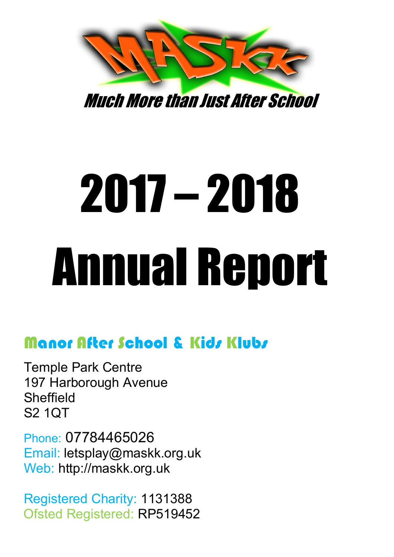

Much More than Just After School

# 2017 – 2018 Annual Report

# Manor After School & Kids Klubs

Temple Park Centre 197 Harborough Avenue Sheffield S2 1QT

Phone: 07784465026 Email: letsplay@maskk.org.uk Web: http://maskk.org.uk

Registered Charity: 1131388 Ofsted Registered: RP519452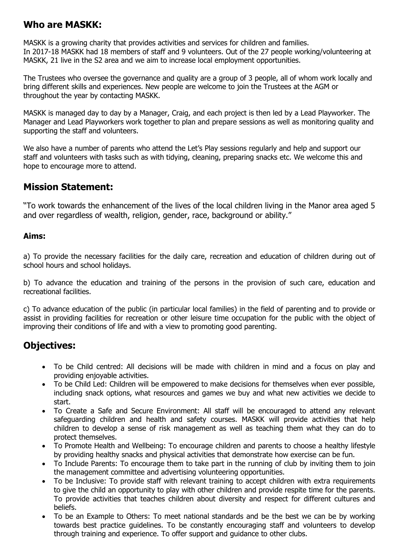## **Who are MASKK:**

MASKK is a growing charity that provides activities and services for children and families. In 2017-18 MASKK had 18 members of staff and 9 volunteers. Out of the 27 people working/volunteering at MASKK, 21 live in the S2 area and we aim to increase local employment opportunities.

The Trustees who oversee the governance and quality are a group of 3 people, all of whom work locally and bring different skills and experiences. New people are welcome to join the Trustees at the AGM or throughout the year by contacting MASKK.

MASKK is managed day to day by a Manager, Craig, and each project is then led by a Lead Playworker. The Manager and Lead Playworkers work together to plan and prepare sessions as well as monitoring quality and supporting the staff and volunteers.

We also have a number of parents who attend the Let's Play sessions regularly and help and support our staff and volunteers with tasks such as with tidying, cleaning, preparing snacks etc. We welcome this and hope to encourage more to attend.

#### **Mission Statement:**

"To work towards the enhancement of the lives of the local children living in the Manor area aged 5 and over regardless of wealth, religion, gender, race, background or ability."

#### **Aims:**

a) To provide the necessary facilities for the daily care, recreation and education of children during out of school hours and school holidays.

b) To advance the education and training of the persons in the provision of such care, education and recreational facilities.

c) To advance education of the public (in particular local families) in the field of parenting and to provide or assist in providing facilities for recreation or other leisure time occupation for the public with the object of improving their conditions of life and with a view to promoting good parenting.

## **Objectives:**

- To be Child centred: All decisions will be made with children in mind and a focus on play and providing enjoyable activities.
- To be Child Led: Children will be empowered to make decisions for themselves when ever possible, including snack options, what resources and games we buy and what new activities we decide to start.
- To Create a Safe and Secure Environment: All staff will be encouraged to attend any relevant safeguarding children and health and safety courses. MASKK will provide activities that help children to develop a sense of risk management as well as teaching them what they can do to protect themselves.
- To Promote Health and Wellbeing: To encourage children and parents to choose a healthy lifestyle by providing healthy snacks and physical activities that demonstrate how exercise can be fun.
- To Include Parents: To encourage them to take part in the running of club by inviting them to join the management committee and advertising volunteering opportunities.
- To be Inclusive: To provide staff with relevant training to accept children with extra requirements to give the child an opportunity to play with other children and provide respite time for the parents. To provide activities that teaches children about diversity and respect for different cultures and beliefs.
- To be an Example to Others: To meet national standards and be the best we can be by working towards best practice guidelines. To be constantly encouraging staff and volunteers to develop through training and experience. To offer support and guidance to other clubs.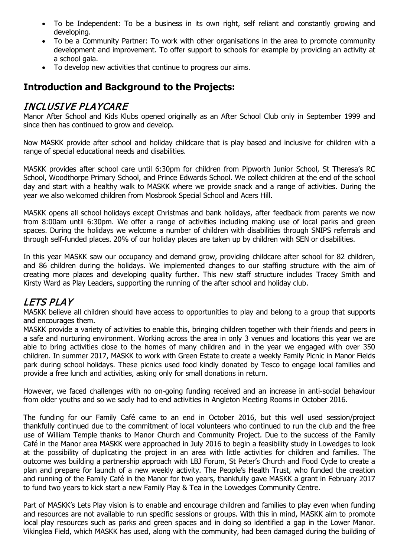- To be Independent: To be a business in its own right, self reliant and constantly growing and developing.
- To be a Community Partner: To work with other organisations in the area to promote community development and improvement. To offer support to schools for example by providing an activity at a school gala.
- To develop new activities that continue to progress our aims.

# **Introduction and Background to the Projects:**

#### INCLUSIVE PLAYCARE

Manor After School and Kids Klubs opened originally as an After School Club only in September 1999 and since then has continued to grow and develop.

Now MASKK provide after school and holiday childcare that is play based and inclusive for children with a range of special educational needs and disabilities.

MASKK provides after school care until 6:30pm for children from Pipworth Junior School, St Theresa's RC School, Woodthorpe Primary School, and Prince Edwards School. We collect children at the end of the school day and start with a healthy walk to MASKK where we provide snack and a range of activities. During the year we also welcomed children from Mosbrook Special School and Acers Hill.

MASKK opens all school holidays except Christmas and bank holidays, after feedback from parents we now from 8:00am until 6:30pm. We offer a range of activities including making use of local parks and green spaces. During the holidays we welcome a number of children with disabilities through SNIPS referrals and through self-funded places. 20% of our holiday places are taken up by children with SEN or disabilities.

In this year MASKK saw our occupancy and demand grow, providing childcare after school for 82 children, and 86 children during the holidays. We implemented changes to our staffing structure with the aim of creating more places and developing quality further. This new staff structure includes Tracey Smith and Kirsty Ward as Play Leaders, supporting the running of the after school and holiday club.

## LETS PLAY

MASKK believe all children should have access to opportunities to play and belong to a group that supports and encourages them.

MASKK provide a variety of activities to enable this, bringing children together with their friends and peers in a safe and nurturing environment. Working across the area in only 3 venues and locations this year we are able to bring activities close to the homes of many children and in the year we engaged with over 350 children. In summer 2017, MASKK to work with Green Estate to create a weekly Family Picnic in Manor Fields park during school holidays. These picnics used food kindly donated by Tesco to engage local families and provide a free lunch and activities, asking only for small donations in return.

However, we faced challenges with no on-going funding received and an increase in anti-social behaviour from older youths and so we sadly had to end activities in Angleton Meeting Rooms in October 2016.

The funding for our Family Café came to an end in October 2016, but this well used session/project thankfully continued due to the commitment of local volunteers who continued to run the club and the free use of William Temple thanks to Manor Church and Community Project. Due to the success of the Family Café in the Manor area MASKK were approached in July 2016 to begin a feasibility study in Lowedges to look at the possibility of duplicating the project in an area with little activities for children and families. The outcome was building a partnership approach with LBJ Forum, St Peter's Church and Food Cycle to create a plan and prepare for launch of a new weekly activity. The People's Health Trust, who funded the creation and running of the Family Café in the Manor for two years, thankfully gave MASKK a grant in February 2017 to fund two years to kick start a new Family Play & Tea in the Lowedges Community Centre.

Part of MASKK's Lets Play vision is to enable and encourage children and families to play even when funding and resources are not available to run specific sessions or groups. With this in mind, MASKK aim to promote local play resources such as parks and green spaces and in doing so identified a gap in the Lower Manor. Vikinglea Field, which MASKK has used, along with the community, had been damaged during the building of